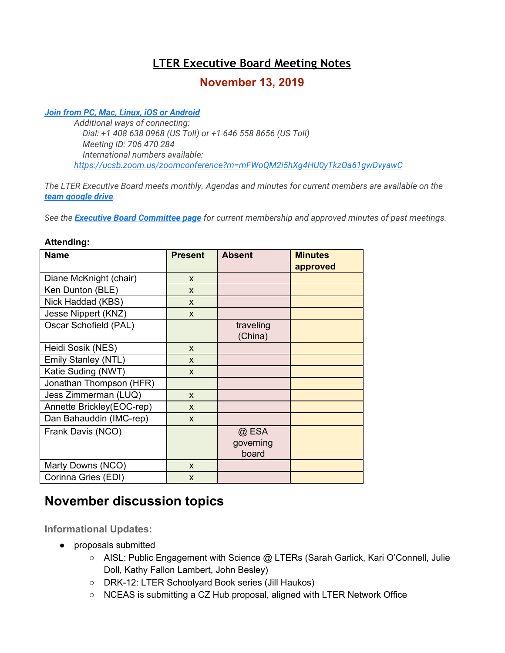# **LTER Executive Board Meeting Notes**

# **November 13, 2019**

#### *[Join from PC, Mac, Linux, iOS or Android](https://ucsb.zoom.us/j/706470284)*

*Additional ways of connecting: Dial: +1 408 638 0968 (US Toll) or +1 646 558 8656 (US Toll) Meeting ID: 706 470 284 International numbers available: <https://ucsb.zoom.us/zoomconference?m=mFWoQM2i5hXg4HU0yTkzOa61gwDvyawC>*

*The LTER Executive Board meets monthly. Agendas and minutes for current members are available on the [team google drive](https://drive.google.com/drive/folders/0AKaWwJjxt2VMUk9PVA).*

*See the [Executive Board Committee page](https://lternet.edu/committees/executive-board/) for current membership and approved minutes of past meetings.*

| <b>Name</b>               | <b>Present</b> | <b>Absent</b>               | <b>Minutes</b><br>approved |
|---------------------------|----------------|-----------------------------|----------------------------|
| Diane McKnight (chair)    | X              |                             |                            |
| Ken Dunton (BLE)          | X              |                             |                            |
| Nick Haddad (KBS)         | X              |                             |                            |
| Jesse Nippert (KNZ)       | X              |                             |                            |
| Oscar Schofield (PAL)     |                | traveling<br>(China)        |                            |
| Heidi Sosik (NES)         | X              |                             |                            |
| Emily Stanley (NTL)       | X              |                             |                            |
| Katie Suding (NWT)        | X              |                             |                            |
| Jonathan Thompson (HFR)   |                |                             |                            |
| Jess Zimmerman (LUQ)      | X              |                             |                            |
| Annette Brickley(EOC-rep) | X              |                             |                            |
| Dan Bahauddin (IMC-rep)   | $\mathsf{x}$   |                             |                            |
| Frank Davis (NCO)         |                | @ ESA<br>governing<br>board |                            |
| Marty Downs (NCO)         | X              |                             |                            |
| Corinna Gries (EDI)       | X              |                             |                            |

#### **Attending:**

# **November discussion topics**

**Informational Updates:**

- proposals submitted
	- AISL: Public Engagement with Science @ LTERs (Sarah Garlick, Kari O'Connell, Julie Doll, Kathy Fallon Lambert, John Besley)
	- DRK-12: LTER Schoolyard Book series (Jill Haukos)
	- NCEAS is submitting a CZ Hub proposal, aligned with LTER Network Office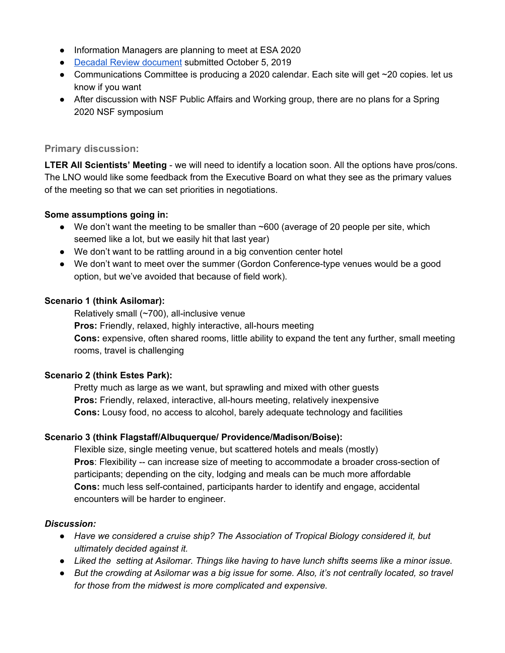- Information Managers are planning to meet at ESA 2020
- Decadal Review [document](https://lternet.edu/wp-content/uploads/2019/10/LTER_Self_Study_2019-10-04.pdf) submitted October 5, 2019
- Communications Committee is producing a 2020 calendar. Each site will get  $\sim$  20 copies. let us know if you want
- After discussion with NSF Public Affairs and Working group, there are no plans for a Spring 2020 NSF symposium

## **Primary discussion:**

**LTER All Scientists' Meeting** - we will need to identify a location soon. All the options have pros/cons. The LNO would like some feedback from the Executive Board on what they see as the primary values of the meeting so that we can set priorities in negotiations.

# **Some assumptions going in:**

- We don't want the meeting to be smaller than ~600 (average of 20 people per site, which seemed like a lot, but we easily hit that last year)
- We don't want to be rattling around in a big convention center hotel
- We don't want to meet over the summer (Gordon Conference-type venues would be a good option, but we've avoided that because of field work).

# **Scenario 1 (think Asilomar):**

Relatively small (~700), all-inclusive venue **Pros:** Friendly, relaxed, highly interactive, all-hours meeting **Cons:** expensive, often shared rooms, little ability to expand the tent any further, small meeting rooms, travel is challenging

### **Scenario 2 (think Estes Park):**

Pretty much as large as we want, but sprawling and mixed with other guests **Pros:** Friendly, relaxed, interactive, all-hours meeting, relatively inexpensive **Cons:** Lousy food, no access to alcohol, barely adequate technology and facilities

### **Scenario 3 (think Flagstaff/Albuquerque/ Providence/Madison/Boise):**

Flexible size, single meeting venue, but scattered hotels and meals (mostly) **Pros**: Flexibility -- can increase size of meeting to accommodate a broader cross-section of participants; depending on the city, lodging and meals can be much more affordable **Cons:** much less self-contained, participants harder to identify and engage, accidental encounters will be harder to engineer.

### *Discussion:*

- *● Have we considered a cruise ship? The Association of Tropical Biology considered it, but ultimately decided against it.*
- *● Liked the setting at Asilomar. Things like having to have lunch shifts seems like a minor issue.*
- But the crowding at Asilomar was a big issue for some. Also, it's not centrally located, so travel *for those from the midwest is more complicated and expensive.*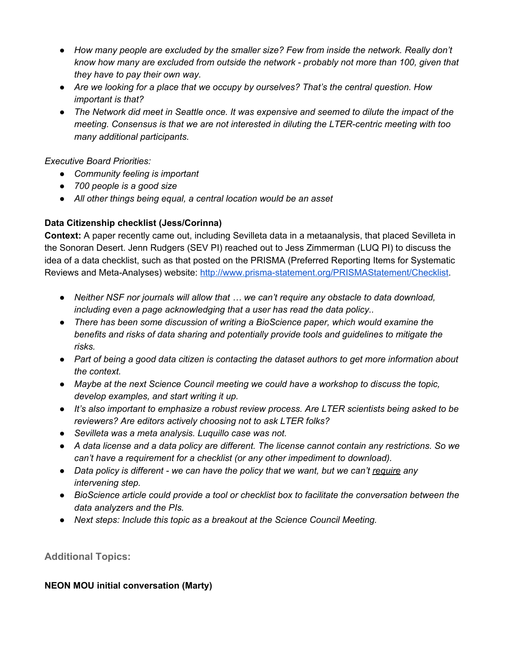- *● How many people are excluded by the smaller size? Few from inside the network. Really don't know how many are excluded from outside the network - probably not more than 100, given that they have to pay their own way.*
- *● Are we looking for a place that we occupy by ourselves? That's the central question. How important is that?*
- The Network did meet in Seattle once. It was expensive and seemed to dilute the impact of the *meeting. Consensus is that we are not interested in diluting the LTER-centric meeting with too many additional participants.*

*Executive Board Priorities:*

- *● Community feeling is important*
- *● 700 people is a good size*
- *● All other things being equal, a central location would be an asset*

# **Data Citizenship checklist (Jess/Corinna)**

**Context:** A paper recently came out, including Sevilleta data in a metaanalysis, that placed Sevilleta in the Sonoran Desert. Jenn Rudgers (SEV PI) reached out to Jess Zimmerman (LUQ PI) to discuss the idea of a data checklist, such as that posted on the PRISMA (Preferred Reporting Items for Systematic Reviews and Meta-Analyses) website: [http://www.prisma-statement.org/PRISMAStatement/Checklist.](http://www.prisma-statement.org/PRISMAStatement/Checklist)

- *● Neither NSF nor journals will allow that … we can't require any obstacle to data download, including even a page acknowledging that a user has read the data policy..*
- *● There has been some discussion of writing a BioScience paper, which would examine the benefits and risks of data sharing and potentially provide tools and guidelines to mitigate the risks.*
- Part of being a good data citizen is contacting the dataset authors to get more information about *the context.*
- *● Maybe at the next Science Council meeting we could have a workshop to discuss the topic, develop examples, and start writing it up.*
- *● It's also important to emphasize a robust review process. Are LTER scientists being asked to be reviewers? Are editors actively choosing not to ask LTER folks?*
- *● Sevilleta was a meta analysis. Luquillo case was not.*
- A data license and a data policy are different. The license cannot contain any restrictions. So we *can't have a requirement for a checklist (or any other impediment to download).*
- *● Data policy is different - we can have the policy that we want, but we can't require any intervening step.*
- *● BioScience article could provide a tool or checklist box to facilitate the conversation between the data analyzers and the PIs.*
- *● Next steps: Include this topic as a breakout at the Science Council Meeting.*

**Additional Topics:**

### **NEON MOU initial conversation (Marty)**